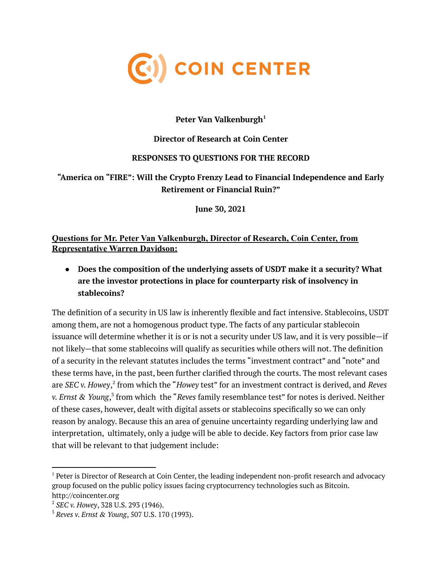

## **Peter Van Valkenburgh 1**

## **Director of Research at Coin Center**

#### **RESPONSES TO QUESTIONS FOR THE RECORD**

## **"America on "FIRE": Will the Crypto Frenzy Lead to Financial Independence and Early Retirement or Financial Ruin?"**

**June 30, 2021**

## **Questions for Mr. Peter Van Valkenburgh, Director of Research, Coin Center, from Representative Warren Davidson:**

**● Does the composition of the underlying assets of USDT make it a security? What are the investor protections in place for counterparty risk of insolvency in stablecoins?**

The definition of a security in US law is inherently flexible and fact intensive. Stablecoins, USDT among them, are not a homogenous product type. The facts of any particular stablecoin issuance will determine whether it is or is not a security under US law, and it is very possible—if not likely—that some stablecoins will qualify as securities while others will not. The definition of a security in the relevant statutes includes the terms "investment contract" and "note" and these terms have, in the past, been further clarified through the courts. The most relevant cases are *SEC v. Howey*, 2 from which the "*Howey* test" for an investment contract is derived, and *Reves v. Ernst & Young*, 3 from which the "*Reves* family resemblance test" for notes is derived. Neither of these cases, however, dealt with digital assets or stablecoins specifically so we can only reason by analogy. Because this an area of genuine uncertainty regarding underlying law and interpretation, ultimately, only a judge will be able to decide. Key factors from prior case law that will be relevant to that judgement include:

 $1$  Peter is Director of Research at Coin Center, the leading independent non-profit research and advocacy group focused on the public policy issues facing cryptocurrency technologies such as Bitcoin. http://coincenter.org

<sup>2</sup> *SEC v. Howey*, 328 U.S. 293 (1946).

<sup>3</sup> *Reves v. Ernst & Young*, 507 U.S. 170 (1993).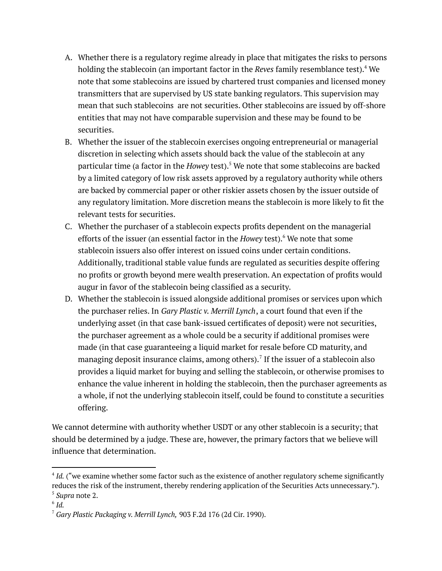- A. Whether there is a regulatory regime already in place that mitigates the risks to persons holding the stablecoin (an important factor in the *Reves* family resemblance test). <sup>4</sup> We note that some stablecoins are issued by chartered trust companies and licensed money transmitters that are supervised by US state banking regulators. This supervision may mean that such stablecoins are not securities. Other stablecoins are issued by off-shore entities that may not have comparable supervision and these may be found to be securities.
- B. Whether the issuer of the stablecoin exercises ongoing entrepreneurial or managerial discretion in selecting which assets should back the value of the stablecoin at any particular time (a factor in the *Howey* test). <sup>5</sup> We note that some stablecoins are backed by a limited category of low risk assets approved by a regulatory authority while others are backed by commercial paper or other riskier assets chosen by the issuer outside of any regulatory limitation. More discretion means the stablecoin is more likely to fit the relevant tests for securities.
- C. Whether the purchaser of a stablecoin expects profits dependent on the managerial efforts of the issuer (an essential factor in the *Howey* test). <sup>6</sup> We note that some stablecoin issuers also offer interest on issued coins under certain conditions. Additionally, traditional stable value funds are regulated as securities despite offering no profits or growth beyond mere wealth preservation. An expectation of profits would augur in favor of the stablecoin being classified as a security.
- D. Whether the stablecoin is issued alongside additional promises or services upon which the purchaser relies. In *Gary Plastic v. Merrill Lynch*, a court found that even if the underlying asset (in that case bank-issued certificates of deposit) were not securities, the purchaser agreement as a whole could be a security if additional promises were made (in that case guaranteeing a liquid market for resale before CD maturity, and managing deposit insurance claims, among others). $^7$  If the issuer of a stablecoin also provides a liquid market for buying and selling the stablecoin, or otherwise promises to enhance the value inherent in holding the stablecoin, then the purchaser agreements as a whole, if not the underlying stablecoin itself, could be found to constitute a securities offering.

We cannot determine with authority whether USDT or any other stablecoin is a security; that should be determined by a judge. These are, however, the primary factors that we believe will influence that determination.

<sup>5</sup> *Supra* note 2. <sup>4</sup> Id. ("we examine whether some factor such as the existence of another regulatory scheme significantly reduces the risk of the instrument, thereby rendering application of the Securities Acts unnecessary.").

<sup>6</sup> *Id.*

<sup>7</sup> *Gary Plastic Packaging v. Merrill Lynch,* 903 F.2d 176 (2d Cir. 1990).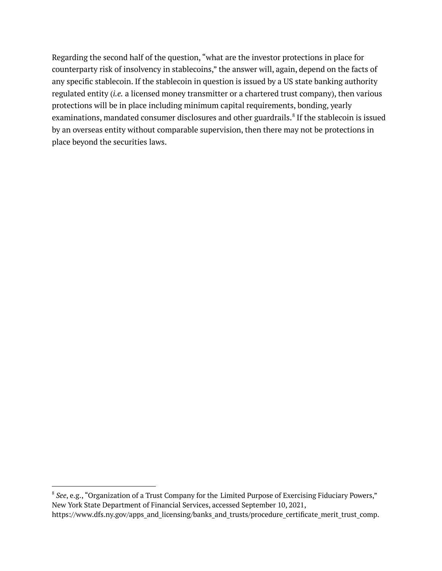Regarding the second half of the question, "what are the investor protections in place for counterparty risk of insolvency in stablecoins," the answer will, again, depend on the facts of any specific stablecoin. If the stablecoin in question is issued by a US state banking authority regulated entity (*i.e.* a licensed money transmitter or a chartered trust company), then various protections will be in place including minimum capital requirements, bonding, yearly examinations, mandated consumer disclosures and other guardrails.<sup>8</sup> If the stablecoin is issued by an overseas entity without comparable supervision, then there may not be protections in place beyond the securities laws.

<sup>&</sup>lt;sup>8</sup> See, e.g., "Organization of a Trust Company for the Limited Purpose of Exercising Fiduciary Powers," New York State Department of Financial Services, accessed September 10, 2021, https://www.dfs.ny.gov/apps\_and\_licensing/banks\_and\_trusts/procedure\_certificate\_merit\_trust\_comp.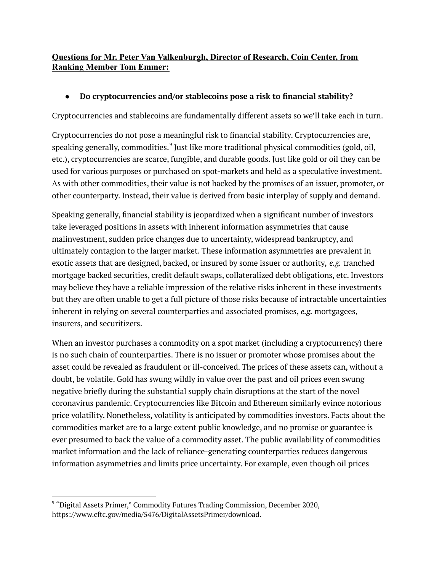## **Questions for Mr. Peter Van Valkenburgh, Director of Research, Coin Center, from Ranking Member Tom Emmer:**

## ● **Do cryptocurrencies and/or stablecoins pose a risk to financial stability?**

Cryptocurrencies and stablecoins are fundamentally different assets so we'll take each in turn.

Cryptocurrencies do not pose a meaningful risk to financial stability. Cryptocurrencies are, speaking generally, commodities. $^9$  Just like more traditional physical commodities (gold, oil, etc.), cryptocurrencies are scarce, fungible, and durable goods. Just like gold or oil they can be used for various purposes or purchased on spot-markets and held as a speculative investment. As with other commodities, their value is not backed by the promises of an issuer, promoter, or other counterparty. Instead, their value is derived from basic interplay of supply and demand.

Speaking generally, financial stability is jeopardized when a significant number of investors take leveraged positions in assets with inherent information asymmetries that cause malinvestment, sudden price changes due to uncertainty, widespread bankruptcy, and ultimately contagion to the larger market. These information asymmetries are prevalent in exotic assets that are designed, backed, or insured by some issuer or authority, *e.g.* tranched mortgage backed securities, credit default swaps, collateralized debt obligations, etc. Investors may believe they have a reliable impression of the relative risks inherent in these investments but they are often unable to get a full picture of those risks because of intractable uncertainties inherent in relying on several counterparties and associated promises, *e.g.* mortgagees, insurers, and securitizers.

When an investor purchases a commodity on a spot market (including a cryptocurrency) there is no such chain of counterparties. There is no issuer or promoter whose promises about the asset could be revealed as fraudulent or ill-conceived. The prices of these assets can, without a doubt, be volatile. Gold has swung wildly in value over the past and oil prices even swung negative briefly during the substantial supply chain disruptions at the start of the novel coronavirus pandemic. Cryptocurrencies like Bitcoin and Ethereum similarly evince notorious price volatility. Nonetheless, volatility is anticipated by commodities investors. Facts about the commodities market are to a large extent public knowledge, and no promise or guarantee is ever presumed to back the value of a commodity asset. The public availability of commodities market information and the lack of reliance-generating counterparties reduces dangerous information asymmetries and limits price uncertainty. For example, even though oil prices

<sup>9</sup> "Digital Assets Primer," Commodity Futures Trading Commission, December 2020, https://www.cftc.gov/media/5476/DigitalAssetsPrimer/download.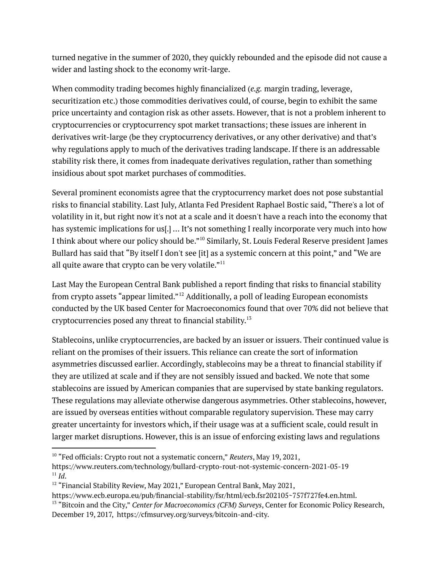turned negative in the summer of 2020, they quickly rebounded and the episode did not cause a wider and lasting shock to the economy writ-large.

When commodity trading becomes highly financialized (*e.g.* margin trading, leverage, securitization etc.) those commodities derivatives could, of course, begin to exhibit the same price uncertainty and contagion risk as other assets. However, that is not a problem inherent to cryptocurrencies or cryptocurrency spot market transactions; these issues are inherent in derivatives writ-large (be they cryptocurrency derivatives, or any other derivative) and that's why regulations apply to much of the derivatives trading landscape. If there is an addressable stability risk there, it comes from inadequate derivatives regulation, rather than something insidious about spot market purchases of commodities.

Several prominent economists agree that the cryptocurrency market does not pose substantial risks to financial stability. Last July, Atlanta Fed President Raphael Bostic said, "There's a lot of volatility in it, but right now it's not at a scale and it doesn't have a reach into the economy that has systemic implications for us[.] ... It's not something I really incorporate very much into how I think about where our policy should be."<sup>10</sup> Similarly, St. Louis Federal Reserve president James Bullard has said that "By itself I don't see [it] as a systemic concern at this point," and "We are all quite aware that crypto can be very volatile." $^{\rm 11}$ 

Last May the European Central Bank published a report finding that risks to financial stability from crypto assets "appear limited."<sup>12</sup> Additionally, a poll of leading European economists conducted by the UK based Center for Macroeconomics found that over 70% did not believe that cryptocurrencies posed any threat to financial stability. 13

Stablecoins, unlike cryptocurrencies, are backed by an issuer or issuers. Their continued value is reliant on the promises of their issuers. This reliance can create the sort of information asymmetries discussed earlier. Accordingly, stablecoins may be a threat to financial stability if they are utilized at scale and if they are not sensibly issued and backed. We note that some stablecoins are issued by American companies that are supervised by state banking regulators. These regulations may alleviate otherwise dangerous asymmetries. Other stablecoins, however, are issued by overseas entities without comparable regulatory supervision. These may carry greater uncertainty for investors which, if their usage was at a sufficient scale, could result in larger market disruptions. However, this is an issue of enforcing existing laws and regulations

<sup>10</sup> "Fed officials: Crypto rout not a systematic concern," *Reuters*, May 19, 2021,

<sup>11</sup> *Id*. https://www.reuters.com/technology/bullard-crypto-rout-not-systemic-concern-2021-05-19

<sup>&</sup>lt;sup>12</sup> "Financial Stability Review, May 2021," European Central Bank, May 2021,

https://www.ecb.europa.eu/pub/financial-stability/fsr/html/ecb.fsr202105~757f727fe4.en.html.

<sup>13</sup> "Bitcoin and the City," *Center for Macroeconomics (CFM) Surveys*, Center for Economic Policy Research, December 19, 2017, https://cfmsurvey.org/surveys/bitcoin-and-city.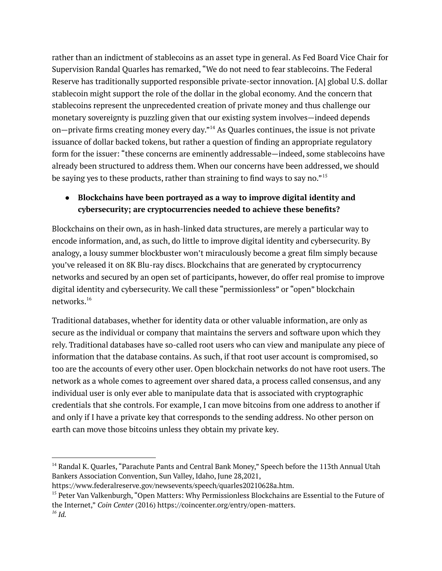rather than an indictment of stablecoins as an asset type in general. As Fed Board Vice Chair for Supervision Randal Quarles has remarked, "We do not need to fear stablecoins. The Federal Reserve has traditionally supported responsible private-sector innovation. [A] global U.S. dollar stablecoin might support the role of the dollar in the global economy. And the concern that stablecoins represent the unprecedented creation of private money and thus challenge our monetary sovereignty is puzzling given that our existing system involves—indeed depends on—private firms creating money every day." <sup>14</sup> As Quarles continues, the issue is not private issuance of dollar backed tokens, but rather a question of finding an appropriate regulatory form for the issuer: "these concerns are eminently addressable—indeed, some stablecoins have already been structured to address them. When our concerns have been addressed, we should be saying yes to these products, rather than straining to find ways to say no."  $^{\rm 15}$ 

# **● Blockchains have been portrayed as a way to improve digital identity and cybersecurity; are cryptocurrencies needed to achieve these benefits?**

Blockchains on their own, as in hash-linked data structures, are merely a particular way to encode information, and, as such, do little to improve digital identity and cybersecurity. By analogy, a lousy summer blockbuster won't miraculously become a great film simply because you've released it on 8K Blu-ray discs. Blockchains that are generated by cryptocurrency networks and secured by an open set of participants, however, do offer real promise to improve digital identity and cybersecurity. We call these "permissionless" or "open" blockchain networks.<sup>16</sup>

Traditional databases, whether for identity data or other valuable information, are only as secure as the individual or company that maintains the servers and software upon which they rely. Traditional databases have so-called root users who can view and manipulate any piece of information that the database contains. As such, if that root user account is compromised, so too are the accounts of every other user. Open blockchain networks do not have root users. The network as a whole comes to agreement over shared data, a process called consensus, and any individual user is only ever able to manipulate data that is associated with cryptographic credentials that she controls. For example, I can move bitcoins from one address to another if and only if I have a private key that corresponds to the sending address. No other person on earth can move those bitcoins unless they obtain my private key.

<sup>&</sup>lt;sup>14</sup> Randal K. Quarles, "Parachute Pants and Central Bank Money," Speech before the 113th Annual Utah Bankers Association Convention, Sun Valley, Idaho, June 28,2021,

https://www.federalreserve.gov/newsevents/speech/quarles20210628a.htm.

<sup>&</sup>lt;sup>15</sup> Peter Van Valkenburgh, "Open Matters: Why Permissionless Blockchains are Essential to the Future of the Internet," *Coin Center* (2016) https://coincenter.org/entry/open-matters.